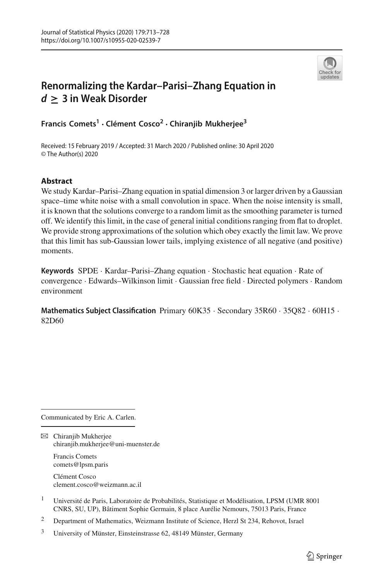

# **Renormalizing the Kardar–Parisi–Zhang Equation in** *<sup>d</sup>* **<sup>≥</sup> 3 in Weak Disorder**

**Francis Comets<sup>1</sup> · Clément Cosco2 · Chiranjib Mukherjee<sup>3</sup>**

Received: 15 February 2019 / Accepted: 31 March 2020 / Published online: 30 April 2020 © The Author(s) 2020

# **Abstract**

We study Kardar–Parisi–Zhang equation in spatial dimension 3 or larger driven by a Gaussian space–time white noise with a small convolution in space. When the noise intensity is small, it is known that the solutions converge to a random limit as the smoothing parameter is turned off. We identify this limit, in the case of general initial conditions ranging from flat to droplet. We provide strong approximations of the solution which obey exactly the limit law. We prove that this limit has sub-Gaussian lower tails, implying existence of all negative (and positive) moments.

**Keywords** SPDE · Kardar–Parisi–Zhang equation · Stochastic heat equation · Rate of convergence · Edwards–Wilkinson limit · Gaussian free field · Directed polymers · Random environment

**Mathematics Subject Classification** Primary 60K35 · Secondary 35R60 · 35O82 · 60H15 · 82D60

Communicated by Eric A. Carlen.

 $\boxtimes$  Chiranjib Mukherjee chiranjib.mukherjee@uni-muenster.de

> Francis Comets comets@lpsm.paris

Clément Cosco clement.cosco@weizmann.ac.il

<sup>1</sup> Université de Paris, Laboratoire de Probabilités, Statistique et Modélisation, LPSM (UMR 8001) CNRS, SU, UP), Bâtiment Sophie Germain, 8 place Aurélie Nemours, 75013 Paris, France

<sup>2</sup> Department of Mathematics, Weizmann Institute of Science, Herzl St 234, Rehovot, Israel

<sup>3</sup> University of Münster, Einsteinstrasse 62, 48149 Münster, Germany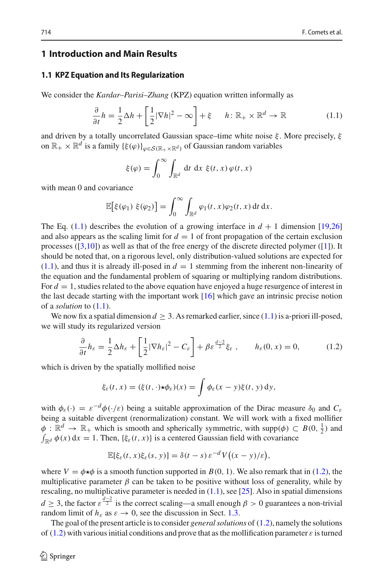# **1 Introduction and Main Results**

#### **1.1 KPZ Equation and Its Regularization**

We consider the *Kardar–Parisi–Zhang* (KPZ) equation written informally as

<span id="page-1-0"></span>
$$
\frac{\partial}{\partial t}h = \frac{1}{2}\Delta h + \left[\frac{1}{2}|\nabla h|^2 - \infty\right] + \xi \qquad h: \mathbb{R}_+ \times \mathbb{R}^d \to \mathbb{R} \tag{1.1}
$$

and driven by a totally uncorrelated Gaussian space–time white noise  $\xi$ . More precisely,  $\xi$ on  $\mathbb{R}_+ \times \mathbb{R}^d$  is a family  $\{\xi(\varphi)\}_{\varphi \in \mathcal{S}(\mathbb{R}_+ \times \mathbb{R}^d)}$  of Gaussian random variables

$$
\xi(\varphi) = \int_0^\infty \int_{\mathbb{R}^d} dt \, dx \, \xi(t, x) \, \varphi(t, x)
$$

with mean 0 and covariance

$$
\mathbb{E}\big[\xi(\varphi_1)\ \xi(\varphi_2)\big]=\int_0^\infty\int_{\mathbb{R}^d}\varphi_1(t,x)\varphi_2(t,x)\,\mathrm{d}t\,\mathrm{d}x.
$$

The Eq.  $(1.1)$  describes the evolution of a growing interface in  $d + 1$  dimension [\[19](#page-15-0)[,26\]](#page-15-1) and also appears as the scaling limit for  $d = 1$  of front propagation of the certain exclusion processes  $(3,10)$  as well as that of the free energy of the discrete directed polymer  $(1)$ . It should be noted that, on a rigorous level, only distribution-valued solutions are expected for  $(1.1)$ , and thus it is already ill-posed in  $d = 1$  stemming from the inherent non-linearity of the equation and the fundamental problem of squaring or multiplying random distributions. For  $d = 1$ , studies related to the above equation have enjoyed a huge resurgence of interest in the last decade starting with the important work [\[16](#page-15-3)] which gave an intrinsic precise notion of a *solution* to [\(1.1\)](#page-1-0).

We now fix a spatial dimension  $d \geq 3$ . As remarked earlier, since [\(1.1\)](#page-1-0) is a-priori ill-posed, we will study its regularized version

<span id="page-1-1"></span>
$$
\frac{\partial}{\partial t}h_{\varepsilon} = \frac{1}{2}\Delta h_{\varepsilon} + \left[\frac{1}{2}|\nabla h_{\varepsilon}|^2 - C_{\varepsilon}\right] + \beta \varepsilon^{\frac{d-2}{2}} \xi_{\varepsilon} , \qquad h_{\varepsilon}(0, x) = 0, \tag{1.2}
$$

which is driven by the spatially mollified noise

$$
\xi_{\varepsilon}(t,x)=(\xi(t,\cdot)\star\phi_{\varepsilon})(x)=\int\phi_{\varepsilon}(x-y)\xi(t,y)\,dy,
$$

with  $\phi_{\varepsilon}(\cdot) = \varepsilon^{-d} \phi(\cdot/\varepsilon)$  being a suitable approximation of the Dirac measure  $\delta_0$  and  $C_{\varepsilon}$ being a suitable divergent (renormalization) constant. We will work with a fixed mollifier  $\phi : \mathbb{R}^d \to \mathbb{R}_+$  which is smooth and spherically symmetric, with supp $(\phi) \subset B(0, \frac{1}{2})$  and  $\int_{\mathbb{R}^d} \phi(x) dx = 1$ . Then,  $\{\xi_{\varepsilon}(t, x)\}\)$  is a centered Gaussian field with covariance

$$
\mathbb{E}[\xi_{\varepsilon}(t,x)\xi_{\varepsilon}(s,y)] = \delta(t-s)\,\varepsilon^{-d}V\big((x-y)/\varepsilon\big),\,
$$

where  $V = \phi \star \phi$  is a smooth function supported in *B*(0, 1). We also remark that in [\(1.2\)](#page-1-1), the multiplicative parameter  $\beta$  can be taken to be positive without loss of generality, while by rescaling, no multiplicative parameter is needed in  $(1.1)$ , see [\[25\]](#page-15-4). Also in spatial dimensions  $d \geq 3$ , the factor  $\varepsilon^{\frac{d-2}{2}}$  is the correct scaling—a small enough  $\beta > 0$  guarantees a non-trivial random limit of  $h_{\varepsilon}$  as  $\varepsilon \to 0$ , see the discussion in Sect. [1.3.](#page-5-0)

The goal of the present article is to consider *general solutions* of [\(1.2\)](#page-1-1), namely the solutions of [\(1.2\)](#page-1-1) with various initial conditions and prove that as the mollification parameter  $\varepsilon$  is turned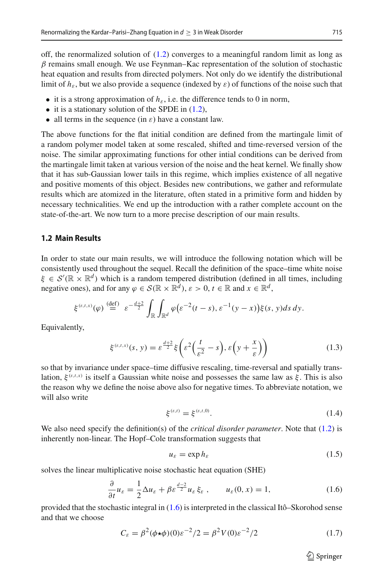off, the renormalized solution of [\(1.2\)](#page-1-1) converges to a meaningful random limit as long as  $\beta$  remains small enough. We use Feynman–Kac representation of the solution of stochastic heat equation and results from directed polymers. Not only do we identify the distributional limit of  $h_{\varepsilon}$ , but we also provide a sequence (indexed by  $\varepsilon$ ) of functions of the noise such that

- it is a strong approximation of  $h_{\varepsilon}$ , i.e. the difference tends to 0 in norm,
- it is a stationary solution of the SPDE in  $(1.2)$ ,
- all terms in the sequence (in  $\varepsilon$ ) have a constant law.

The above functions for the flat initial condition are defined from the martingale limit of a random polymer model taken at some rescaled, shifted and time-reversed version of the noise. The similar approximating functions for other intial conditions can be derived from the martingale limit taken at various version of the noise and the heat kernel. We finally show that it has sub-Gaussian lower tails in this regime, which implies existence of all negative and positive moments of this object. Besides new contributions, we gather and reformulate results which are atomized in the literature, often stated in a primitive form and hidden by necessary technicalities. We end up the introduction with a rather complete account on the state-of-the-art. We now turn to a more precise description of our main results.

## **1.2 Main Results**

In order to state our main results, we will introduce the following notation which will be consistently used throughout the sequel. Recall the definition of the space–time white noise  $\xi \in S'(\mathbb{R} \times \mathbb{R}^d)$  which is a random tempered distribution (defined in all times, including negative ones), and for any  $\varphi \in \mathcal{S}(\mathbb{R} \times \mathbb{R}^d)$ ,  $\varepsilon > 0$ ,  $t \in \mathbb{R}$  and  $x \in \mathbb{R}^d$ ,

$$
\xi^{(\varepsilon,t,x)}(\varphi) \stackrel{\text{(def)}}{=} \varepsilon^{-\frac{d+2}{2}} \int_{\mathbb{R}} \int_{\mathbb{R}^d} \varphi(\varepsilon^{-2}(t-s),\varepsilon^{-1}(y-x)) \xi(s,y) ds dy.
$$

Equivalently,

<span id="page-2-1"></span>
$$
\xi^{(\varepsilon,t,x)}(s,\,y)=\varepsilon^{\frac{d+2}{2}}\xi\bigg(\varepsilon^2\bigg(\frac{t}{\varepsilon^2}-s\bigg),\,\varepsilon\bigg(y+\frac{x}{\varepsilon}\bigg)\bigg)\tag{1.3}
$$

so that by invariance under space–time diffusive rescaling, time-reversal and spatially translation,  $\xi^{(\varepsilon,t,x)}$  is itself a Gaussian white noise and possesses the same law as  $\xi$ . This is also the reason why we define the noise above also for negative times. To abbreviate notation, we will also write

<span id="page-2-3"></span>
$$
\xi^{(\varepsilon,t)} = \xi^{(\varepsilon,t,0)}.\tag{1.4}
$$

We also need specify the definition(s) of the *critical disorder parameter*. Note that [\(1.2\)](#page-1-1) is inherently non-linear. The Hopf–Cole transformation suggests that

<span id="page-2-2"></span>
$$
u_{\varepsilon} = \exp h_{\varepsilon} \tag{1.5}
$$

solves the linear multiplicative noise stochastic heat equation (SHE)

<span id="page-2-0"></span>
$$
\frac{\partial}{\partial t}u_{\varepsilon} = \frac{1}{2}\Delta u_{\varepsilon} + \beta \varepsilon^{\frac{d-2}{2}}u_{\varepsilon}\xi_{\varepsilon}, \qquad u_{\varepsilon}(0, x) = 1, \tag{1.6}
$$

provided that the stochastic integral in [\(1.6\)](#page-2-0) is interpreted in the classical Itô–Skorohod sense and that we choose

$$
C_{\varepsilon} = \beta^2 (\phi * \phi)(0) \varepsilon^{-2} / 2 = \beta^2 V(0) \varepsilon^{-2} / 2 \tag{1.7}
$$

 $\circled{2}$  Springer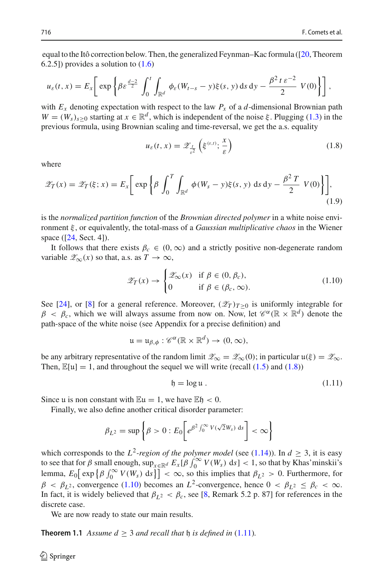equal to the Itô correction below. Then, the generalized Feynman–Kac formula ([\[20](#page-15-5), Theorem 6.2.5]) provides a solution to [\(1.6\)](#page-2-0)

$$
u_{\varepsilon}(t,x)=E_x\bigg[\exp\bigg\{\beta\varepsilon^{\frac{d-2}{2}}\int_0^t\int_{\mathbb{R}^d}\phi_{\varepsilon}(W_{t-s}-y)\xi(s,y)\,ds\,dy-\frac{\beta^2\,t\,\varepsilon^{-2}}{2}\,V(0)\bigg\}\bigg]\,,
$$

with  $E_x$  denoting expectation with respect to the law  $P_x$  of a *d*-dimensional Brownian path  $W = (W_s)_{s>0}$  starting at  $x \in \mathbb{R}^d$ , which is independent of the noise ξ. Plugging [\(1.3\)](#page-2-1) in the previous formula, using Brownian scaling and time-reversal, we get the a.s. equality

<span id="page-3-0"></span>
$$
u_{\varepsilon}(t,x) = \mathscr{Z}_{\frac{t}{\varepsilon^2}}\left(\xi^{(\varepsilon,t)}; \frac{x}{\varepsilon}\right) \tag{1.8}
$$

where

$$
\mathscr{Z}_T(x) = \mathscr{Z}_T(\xi; x) = E_x \bigg[ \exp \bigg\{ \beta \int_0^T \int_{\mathbb{R}^d} \phi(W_s - y) \xi(s, y) \, ds \, dy - \frac{\beta^2 \, T}{2} \, V(0) \bigg\} \bigg], \tag{1.9}
$$

is the *normalized partition function* of the *Brownian directed polymer* in a white noise environment ξ , or equivalently, the total-mass of a *Gaussian multiplicative chaos* in the Wiener space ([\[24](#page-15-6), Sect. 4]).

It follows that there exists  $\beta_c \in (0,\infty)$  and a strictly positive non-degenerate random variable  $\mathscr{Z}_{\infty}(x)$  so that, a.s. as  $T \to \infty$ ,

<span id="page-3-1"></span>
$$
\mathscr{Z}_{T}(x) \to \begin{cases} \mathscr{Z}_{\infty}(x) & \text{if } \beta \in (0, \beta_c), \\ 0 & \text{if } \beta \in (\beta_c, \infty). \end{cases}
$$
 (1.10)

See [\[24](#page-15-6)], or [\[8\]](#page-15-7) for a general reference. Moreover,  $(\mathscr{Z}_T)_{T>0}$  is uniformly integrable for  $\beta < \beta_c$ , which we will always assume from now on. Now, let  $\mathscr{C}^{\alpha}(\mathbb{R} \times \mathbb{R}^d)$  denote the path-space of the white noise (see Appendix for a precise definition) and

$$
\mathfrak{u}=\mathfrak{u}_{\beta,\phi}:\mathscr{C}^{\alpha}(\mathbb{R}\times\mathbb{R}^d)\to(0,\infty),
$$

be any arbitrary representative of the random limit  $\mathscr{Z}_{\infty} = \mathscr{Z}_{\infty}(0)$ ; in particular  $\mathfrak{u}(\xi) = \mathscr{Z}_{\infty}$ . Then,  $\mathbb{E}[u] = 1$ , and throughout the sequel we will write (recall [\(1.5\)](#page-2-2) and [\(1.8\)](#page-3-0))

<span id="page-3-2"></span>
$$
\mathfrak{h} = \log \mathfrak{u} \ . \tag{1.11}
$$

Since u is non constant with  $\mathbb{E}u = 1$ , we have  $\mathbb{E}h < 0$ .

Finally, we also define another critical disorder parameter:

$$
\beta_{L^2} = \sup \left\{ \beta > 0 : E_0 \bigg[ e^{\beta^2 \int_0^\infty V(\sqrt{2}W_s) \, ds} \bigg] < \infty \right\}
$$

which corresponds to the  $L^2$ -region of the polymer model (see [\(1.14\)](#page-6-0)). In  $d \geq 3$ , it is easy to see that for  $\beta$  small enough,  $\sup_{x \in \mathbb{R}^d} E_x[\beta \int_0^\infty V(W_s) ds] < 1$ , so that by Khas'minskii's lemma,  $E_0[$  exp  $\left\{\beta \int_0^\infty V(W_s) \, ds\right\}] < \infty$ , so this implies that  $\beta_{L^2} > 0$ . Furthermore, for  $\beta < \beta_{L^2}$ , convergence [\(1.10\)](#page-3-1) becomes an *L*<sup>2</sup>-convergence, hence  $0 < \beta_{L^2} \le \beta_c < \infty$ . In fact, it is widely believed that  $\beta_{L^2} < \beta_c$ , see [\[8,](#page-15-7) Remark 5.2 p. 87] for references in the discrete case.

<span id="page-3-3"></span>We are now ready to state our main results.

**Theorem 1.1** *Assume*  $d \geq 3$  *and recall that*  $\mathfrak h$  *is defined in* [\(1.11\)](#page-3-2)*.*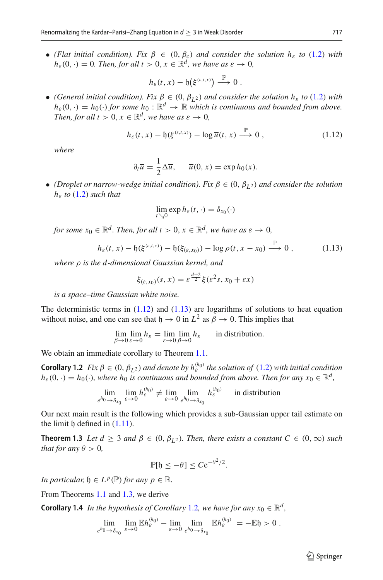• *(Flat initial condition). Fix*  $\beta \in (0, \beta_c)$  *and consider the solution h<sub>ε</sub> to* [\(1.2\)](#page-1-1) *with*  $h_{\varepsilon}(0, \cdot) = 0$ *. Then, for all t* > 0,  $x \in \mathbb{R}^d$ *, we have as*  $\varepsilon \to 0$ *,* 

$$
h_{\varepsilon}(t,x)-\mathfrak{h}\big(\xi^{(\varepsilon,t,x)}\big)\overset{\mathbb{P}}{\longrightarrow}0.
$$

• *(General initial condition). Fix*  $\beta \in (0, \beta_I z)$  *and consider the solution h<sub>ε</sub> to* [\(1.2\)](#page-1-1) *with*  $h_{\varepsilon}(0, \cdot) = h_0(\cdot)$  *for some*  $h_0: \mathbb{R}^d \to \mathbb{R}$  *which is continuous and bounded from above. Then, for all t* > 0,  $x \in \mathbb{R}^d$ , we have as  $\varepsilon \to 0$ ,

<span id="page-4-0"></span>
$$
h_{\varepsilon}(t,x) - \mathfrak{h}(\xi^{(\varepsilon,t,x)}) - \log \overline{u}(t,x) \stackrel{\mathbb{P}}{\longrightarrow} 0 , \qquad (1.12)
$$

*where*

$$
\partial_t \overline{u} = \frac{1}{2} \Delta \overline{u}, \quad \overline{u}(0, x) = \exp h_0(x).
$$

• *(Droplet or narrow-wedge initial condition). Fix*  $\beta \in (0, \beta_{L^2})$  *and consider the solution h*<sup>ε</sup> *to* [\(1.2\)](#page-1-1) *such that*

$$
\lim_{t \searrow 0} \exp h_{\varepsilon}(t,\cdot) = \delta_{x_0}(\cdot)
$$

*for some*  $x_0 \in \mathbb{R}^d$ . *Then, for all t* > 0,  $x \in \mathbb{R}^d$ , we have as  $\varepsilon \to 0$ ,

<span id="page-4-1"></span>
$$
h_{\varepsilon}(t,x) - \mathfrak{h}(\xi^{(\varepsilon,t,x)}) - \mathfrak{h}(\xi_{(\varepsilon,x_0)}) - \log \rho(t,x-x_0) \stackrel{\mathbb{P}}{\longrightarrow} 0 , \qquad (1.13)
$$

*where* ρ *is the d-dimensional Gaussian kernel, and*

$$
\xi_{(\varepsilon,x_0)}(s,x)=\varepsilon^{\frac{d+2}{2}}\xi(\varepsilon^2s,x_0+\varepsilon x)
$$

*is a space–time Gaussian white noise.*

The deterministic terms in  $(1.12)$  and  $(1.13)$  are logarithms of solutions to heat equation without noise, and one can see that  $h \to 0$  in  $L^2$  as  $\beta \to 0$ . This implies that

$$
\lim_{\beta \to 0} \lim_{\varepsilon \to 0} h_{\varepsilon} = \lim_{\varepsilon \to 0} \lim_{\beta \to 0} h_{\varepsilon}
$$
 in distribution.

<span id="page-4-3"></span>We obtain an immediate corollary to Theorem [1.1.](#page-3-3)

**Corollary 1.2** *Fix*  $\beta \in (0, \beta_L^2)$  *and denote by*  $h_{\varepsilon}^{(h_0)}$  *the solution of* [\(1.2\)](#page-1-1) *with initial condition*  $h_{\varepsilon}(0, \cdot) = h_0(\cdot)$ , where  $h_0$  *is continuous and bounded from above. Then for any*  $x_0 \in \mathbb{R}^d$ ,

$$
\lim_{e^{h_0} \to \delta_{x_0}} \lim_{\varepsilon \to 0} h_{\varepsilon}^{(h_0)} \neq \lim_{\varepsilon \to 0} \lim_{e^{h_0} \to \delta_{x_0}} h_{\varepsilon}^{(h_0)} \quad \text{in distribution}
$$

<span id="page-4-2"></span>Our next main result is the following which provides a sub-Gaussian upper tail estimate on the limit  $\mathfrak h$  defined in  $(1.11)$ .

**Theorem 1.3** *Let*  $d \geq 3$  *and*  $\beta \in (0, \beta_1, \beta_2)$ *. Then, there exists a constant*  $C \in (0, \infty)$  *such that for any*  $\theta > 0$ *,* 

$$
\mathbb{P}[\mathfrak{h}\leq-\theta]\leq C\mathrm{e}^{-\theta^2/2}.
$$

*In particular,*  $\mathfrak{h} \in L^p(\mathbb{P})$  *for any*  $p \in \mathbb{R}$ *.* 

From Theorems [1.1](#page-3-3) and [1.3,](#page-4-2) we derive

**Corollary 1.4** *In the hypothesis of Corollary* [1.2](#page-4-3)*, we have for any*  $x_0 \in \mathbb{R}^d$ *,* 

$$
\lim_{e^{h_0}\to \delta_{x_0}} \lim_{\varepsilon\to 0} \mathbb{E} h_{\varepsilon}^{(h_0)} - \lim_{\varepsilon\to 0} \lim_{e^{h_0}\to \delta_{x_0}} \mathbb{E} h_{\varepsilon}^{(h_0)} = -\mathbb{E} \mathfrak{h} > 0.
$$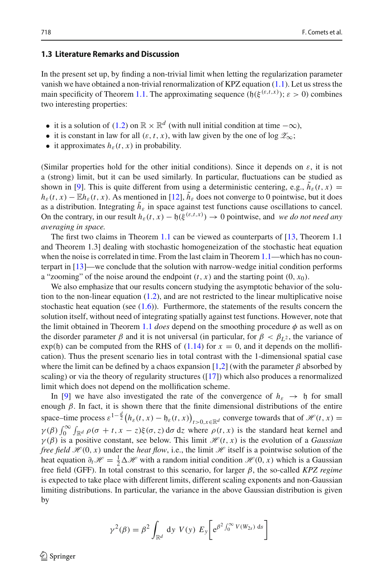## <span id="page-5-0"></span>**1.3 Literature Remarks and Discussion**

In the present set up, by finding a non-trivial limit when letting the regularization parameter vanish we have obtained a non-trivial renormalization of KPZ equation  $(1.1)$ . Let us stress the main specificity of Theorem [1.1.](#page-3-3) The approximating sequence  $(f)(\xi^{(\varepsilon,t,x)})$ ;  $\varepsilon > 0$ ) combines two interesting properties:

- it is a solution of [\(1.2\)](#page-1-1) on  $\mathbb{R} \times \mathbb{R}^d$  (with null initial condition at time  $-\infty$ ).
- it is constant in law for all  $(\varepsilon, t, x)$ , with law given by the one of log  $\mathscr{Z}_{\infty}$ ;
- it approximates  $h_{\varepsilon}(t, x)$  in probability.

(Similar properties hold for the other initial conditions). Since it depends on  $\varepsilon$ , it is not a (strong) limit, but it can be used similarly. In particular, fluctuations can be studied as shown in [\[9\]](#page-15-8). This is quite different from using a deterministic centering, e.g.,  $h_{\varepsilon}(t, x) =$  $h_{\varepsilon}(t, x) - \mathbb{E}h_{\varepsilon}(t, x)$ . As mentioned in [\[12](#page-15-9)],  $h_{\varepsilon}$  does not converge to 0 pointwise, but it does as a distribution. Integrating  $\tilde{h}_{\varepsilon}$  in space against test functions cause oscillations to cancel. On the contrary, in our result  $h_{\varepsilon}(t, x) - \mathfrak{h}(\xi^{(\varepsilon, t, x)}) \to 0$  pointwise, and *we do not need any averaging in space.*

The first two claims in Theorem [1.1](#page-3-3) can be viewed as counterparts of [\[13](#page-15-10), Theorem 1.1 and Theorem 1.3] dealing with stochastic homogeneization of the stochastic heat equation when the noise is correlated in time. From the last claim in Theorem [1.1—](#page-3-3)which has no counterpart in [\[13](#page-15-10)]—we conclude that the solution with narrow-wedge initial condition performs a "zooming" of the noise around the endpoint  $(t, x)$  and the starting point  $(0, x_0)$ .

We also emphasize that our results concern studying the asymptotic behavior of the solution to the non-linear equation  $(1.2)$ , and are not restricted to the linear multiplicative noise stochastic heat equation (see  $(1.6)$ ). Furthermore, the statements of the results concern the solution itself, without need of integrating spatially against test functions. However, note that the limit obtained in Theorem [1.1](#page-3-3) *does* depend on the smoothing procedure  $\phi$  as well as on the disorder parameter  $\beta$  and it is not universal (in particular, for  $\beta < \beta_{L^2}$ , the variance of  $\exp(\mathfrak{h})$  can be computed from the RHS of [\(1.14\)](#page-6-0) for  $x = 0$ , and it depends on the mollification). Thus the present scenario lies in total contrast with the 1-dimensional spatial case where the limit can be defined by a chaos expansion [\[1](#page-14-1)[,2\]](#page-14-2) (with the parameter  $\beta$  absorbed by scaling) or via the theory of regularity structures ([\[17](#page-15-11)]) which also produces a renormalized limit which does not depend on the mollification scheme.

In [\[9](#page-15-8)] we have also investigated the rate of the convergence of  $h_{\varepsilon} \to \mathfrak{h}$  for small enough  $\beta$ . In fact, it is shown there that the finite dimensional distributions of the entire space–time process  $\varepsilon^{1-\frac{d}{2}}(h_{\varepsilon}(t, x) - \mathfrak{h}_{\varepsilon}(t, x))_{t>0, x \in \mathbb{R}^d}$  converge towards that of  $\mathcal{H}(t, x) =$  $\gamma(\beta)$   $\int_0^\infty \int_{\mathbb{R}^d} \rho(\sigma + t, x - z) \xi(\sigma, z) d\sigma dz$  where  $\rho(t, x)$  is the standard heat kernel and  $\gamma(\beta)$  is a positive constant, see below. This limit  $\mathcal{H}(t, x)$  is the evolution of a *Gaussian free field*  $\mathcal{H}(0, x)$  under the *heat flow*, i.e., the limit  $\mathcal{H}$  itself is a pointwise solution of the heat equation  $\partial_t \mathcal{H} = \frac{1}{2} \Delta \mathcal{H}$  with a random initial condition  $\mathcal{H}(0, x)$  which is a Gaussian free field (GFF). In total constrast to this scenario, for larger β, the so-called *KPZ regime* is expected to take place with different limits, different scaling exponents and non-Gaussian limiting distributions. In particular, the variance in the above Gaussian distribution is given by

$$
\gamma^2(\beta) = \beta^2 \int_{\mathbb{R}^d} dy \ V(y) \ E_y \bigg[ e^{\beta^2 \int_0^{\infty} V(W_{2s}) ds} \bigg]
$$

 $\mathcal{L}$  Springer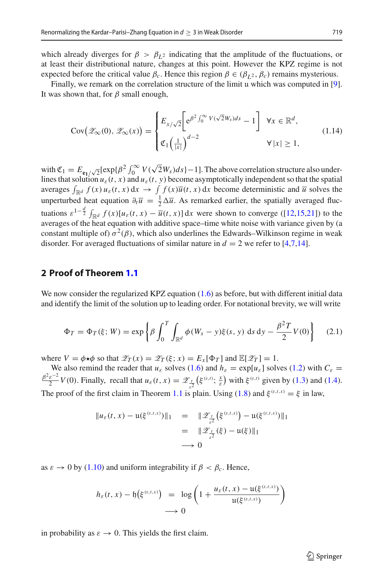which already diverges for  $\beta > \beta_{L^2}$  indicating that the amplitude of the fluctuations, or at least their distributional nature, changes at this point. However the KPZ regime is not expected before the critical value  $\beta_c$ . Hence this region  $\beta \in (\beta_{L^2}, \beta_c)$  remains mysterious.

Finally, we remark on the correlation structure of the limit u which was computed in [\[9\]](#page-15-8). It was shown that, for  $\beta$  small enough,

<span id="page-6-0"></span>
$$
Cov(\mathscr{Z}_{\infty}(0), \mathscr{Z}_{\infty}(x)) = \begin{cases} E_{x/\sqrt{2}} \Big[ e^{\beta^2 \int_0^{\infty} V(\sqrt{2}W_s)ds} - 1 \Big] & \forall x \in \mathbb{R}^d, \\ \mathfrak{C}_1 \Big( \frac{1}{|x|} \Big)^{d-2} & \forall |x| \ge 1, \end{cases}
$$
(1.14)

with  $\mathfrak{C}_1 = E_{\mathbf{e}_1/\sqrt{2}}[\exp{\{\beta^2 \int_0^\infty V(\sqrt{2}W_s)ds\}}-1]$ . The above correlation structure also underlines that solution  $u_{\varepsilon}(t, x)$  and  $u_{\varepsilon}(t, y)$  become asymptotically independent so that the spatial averages  $\int_{\mathbb{R}^d} f(x) u_{\varepsilon}(t, x) dx \to \int_{\mathbb{R}^d} f(x) \overline{u}(t, x) dx$  become deterministic and  $\overline{u}$  solves the unperturbed heat equation  $\partial_t \overline{u} = \frac{1}{2} \Delta \overline{u}$ . As remarked earlier, the spatially averaged fluctuations  $\varepsilon^{1-\frac{d}{2}} \int_{\mathbb{R}^d} f(x) [u_\varepsilon(t,x) - \overline{u}(t,x)] dx$  were shown to converge ([\[12](#page-15-9)[,15](#page-15-12)[,21\]](#page-15-13)) to the averages of the heat equation with additive space–time white noise with variance given by (a constant multiple of)  $\sigma^2(\beta)$ , which also underlines the Edwards–Wilkinson regime in weak disorder. For averaged fluctuations of similar nature in  $d = 2$  we refer to [\[4](#page-14-3)[,7](#page-14-4)[,14\]](#page-15-14).

# **2 Proof of Theorem [1.1](#page-3-3)**

We now consider the regularized KPZ equation [\(1.6\)](#page-2-0) as before, but with different initial data and identify the limit of the solution up to leading order. For notational brevity, we will write

$$
\Phi_T = \Phi_T(\xi; W) = \exp\left\{\beta \int_0^T \int_{\mathbb{R}^d} \phi(W_s - y)\xi(s, y) \, ds \, dy - \frac{\beta^2 T}{2} V(0) \right\} \tag{2.1}
$$

where  $V = \phi * \phi$  so that  $\mathscr{Z}_T(x) = \mathscr{Z}_T(\xi; x) = E_x[\Phi_T]$  and  $\mathbb{E}[\mathscr{Z}_T] = 1$ .

We also remind the reader that  $u_{\varepsilon}$  solves [\(1.6\)](#page-2-0) and  $h_{\varepsilon} = \exp[u_{\varepsilon}]$  solves [\(1.2\)](#page-1-1) with  $C_{\varepsilon} =$  $\frac{\varepsilon^{-2}}{2}V(0)$ . Finally, recall that  $u_{\varepsilon}(t, x) = \mathscr{Z}_{\frac{t}{\varepsilon^{2}}}(\xi^{(\varepsilon, t)}; \frac{x}{\varepsilon})$  with  $\xi^{(\varepsilon, t)}$  given by [\(1.3\)](#page-2-1) and [\(1.4\)](#page-2-3). The proof of the first claim in Theorem [1.1](#page-3-3) is plain. Using [\(1.8\)](#page-3-0) and  $\xi^{(\varepsilon,t,x)} = \xi$  in law,

$$
\|u_{\varepsilon}(t,x) - \mathfrak{u}(\xi^{(\varepsilon,t,x)})\|_1 = \|{\mathscr{Z}}_{\frac{t}{\varepsilon^2}}(\xi^{(\varepsilon,t,x)}) - \mathfrak{u}(\xi^{(\varepsilon,t,x)})\|_1
$$
  
=  $\|{\mathscr{Z}}_{\frac{t}{\varepsilon^2}}(\xi) - \mathfrak{u}(\xi)\|_1$   
 $\longrightarrow 0$ 

as  $\varepsilon \to 0$  by [\(1.10\)](#page-3-1) and uniform integrability if  $\beta < \beta_c$ . Hence,

$$
h_{\varepsilon}(t,x) - \mathfrak{h}\big(\xi^{(\varepsilon,t,x)}\big) = \log\left(1 + \frac{u_{\varepsilon}(t,x) - \mathfrak{u}(\xi^{(\varepsilon,t,x)})}{\mathfrak{u}(\xi^{(\varepsilon,t,x)})}\right)
$$
  

$$
\longrightarrow 0
$$

in probability as  $\varepsilon \to 0$ . This yields the first claim.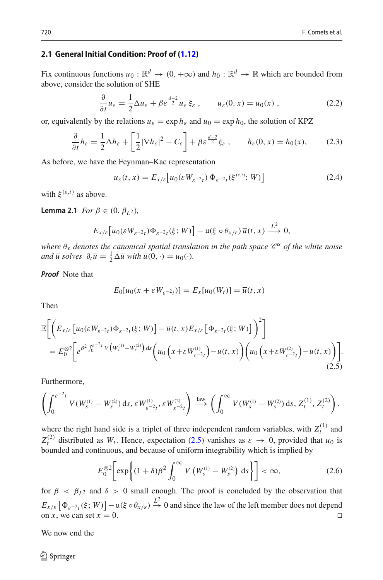## **2.1 General Initial Condition: Proof of [\(1.12\)](#page-4-0)**

Fix continuous functions  $u_0 : \mathbb{R}^d \to (0, +\infty)$  and  $h_0 : \mathbb{R}^d \to \mathbb{R}$  which are bounded from above, consider the solution of SHE

$$
\frac{\partial}{\partial t}u_{\varepsilon} = \frac{1}{2}\Delta u_{\varepsilon} + \beta \varepsilon^{\frac{d-2}{2}}u_{\varepsilon}\xi_{\varepsilon} , \qquad u_{\varepsilon}(0, x) = u_0(x) , \qquad (2.2)
$$

or, equivalently by the relations  $u_{\varepsilon} = \exp h_{\varepsilon}$  and  $u_0 = \exp h_0$ , the solution of KPZ

$$
\frac{\partial}{\partial t}h_{\varepsilon} = \frac{1}{2}\Delta h_{\varepsilon} + \left[\frac{1}{2}|\nabla h_{\varepsilon}|^2 - C_{\varepsilon}\right] + \beta \varepsilon^{\frac{d-2}{2}} \xi_{\varepsilon} , \qquad h_{\varepsilon}(0, x) = h_0(x), \tag{2.3}
$$

As before, we have the Feynman–Kac representation

<span id="page-7-2"></span><span id="page-7-1"></span>
$$
u_{\varepsilon}(t,x) = E_{x/\varepsilon} \left[ u_0(\varepsilon W_{\varepsilon^{-2}t}) \Phi_{\varepsilon^{-2}t}(\xi^{(\varepsilon,t)}; W) \right]
$$
(2.4)

with  $\xi^{(\varepsilon,t)}$  as above.

**Lemma 2.1** *For*  $\beta \in (0, \beta_{I2})$ *,* 

$$
E_{x/\varepsilon}\left[u_0(\varepsilon W_{\varepsilon^{-2}t})\Phi_{\varepsilon^{-2}t}(\xi;W)\right]-\mathfrak{u}(\xi\circ\theta_{x/\varepsilon})\,\overline{u}(t,x)\xrightarrow{L^2}0,
$$

*where*  $\theta_x$  *denotes the canonical spatial translation in the path space*  $\mathscr{C}^{\alpha}$  *of the white noise and*  $\overline{u}$  *solves*  $\partial_t \overline{u} = \frac{1}{2} \Delta \overline{u}$  *with*  $\overline{u}(0, \cdot) = u_0(\cdot)$ *.* 

*Proof* Note that

<span id="page-7-0"></span>
$$
E_0[u_0(x + \varepsilon W_{\varepsilon^{-2}t})] = E_x[u_0(W_t)] = \overline{u}(t, x)
$$

Then

$$
\mathbb{E}\bigg[\bigg(E_{x/\varepsilon}\big[u_{0}(\varepsilon W_{\varepsilon^{-2}t})\Phi_{\varepsilon^{-2}t}(\xi;W)\bigg]-\overline{u}(t,x)E_{x/\varepsilon}\big[\Phi_{\varepsilon^{-2}t}(\xi;W)\big]\bigg)^{2}\bigg] \n= E_{0}^{\otimes 2}\bigg[e^{\beta^{2}\int_{0}^{\varepsilon^{-2}t}V\big(W_{s}^{(1)}-W_{s}^{(2)}\big)\,ds}\bigg(u_{0}\bigg(x+\varepsilon W_{\varepsilon^{-2}t}^{(1)}\bigg)-\overline{u}(t,x)\bigg)\bigg(u_{0}\bigg(x+\varepsilon W_{\varepsilon^{-2}t}^{(2)}\big)-\overline{u}(t,x)\bigg)\bigg].
$$
\n(2.5)

Furthermore,

$$
\left(\int_0^{\varepsilon^{-2}t} V(W_s^{(1)} - W_s^{(2)}) \,ds, \,\varepsilon W_{\varepsilon^{-2}t}^{(1)}, \,\varepsilon W_{\varepsilon^{-2}t}^{(2)}\right) \stackrel{\text{law}}{\longrightarrow} \left(\int_0^\infty V(W_s^{(1)} - W_s^{(2)}) \,ds, \,Z_t^{(1)}, \,Z_t^{(2)}\right),
$$

where the right hand side is a triplet of three independent random variables, with  $Z_t^{(1)}$  and  $Z_t^{(2)}$  distributed as  $W_t$ . Hence, expectation [\(2.5\)](#page-7-0) vanishes as  $\varepsilon \to 0$ , provided that  $u_0$  is bounded and continuous, and because of uniform integrability which is implied by

<span id="page-7-3"></span>
$$
E_0^{\otimes 2} \bigg[ \exp\bigg\{ (1+\delta) \beta^2 \int_0^\infty V \left( W_s^{(1)} - W_s^{(2)} \right) \, \mathrm{d}s \bigg\} \bigg] < \infty,\tag{2.6}
$$

for  $\beta < \beta_{12}$  and  $\delta > 0$  small enough. The proof is concluded by the observation that  $E_{x/\varepsilon} \left[ \Phi_{\varepsilon^{-2}t}(\xi; W) \right] - \mathfrak{u}(\xi \circ \theta_{x/\varepsilon}) \stackrel{L^2}{\to} 0$  and since the law of the left member does not depend on *x*, we can set  $x = 0$ .

We now end the

 $\circledcirc$  Springer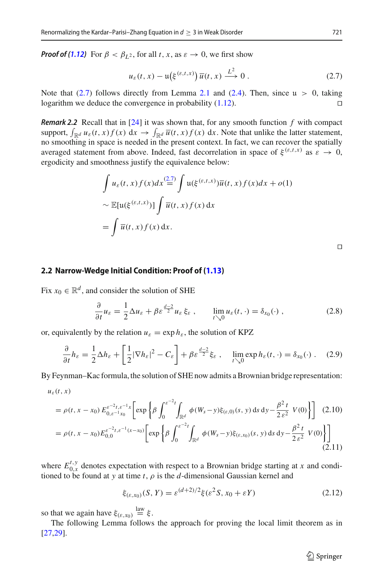*Proof of [\(1.12\)](#page-4-0)* For  $\beta < \beta_{L^2}$ , for all *t*, *x*, as  $\varepsilon \to 0$ , we first show

<span id="page-8-0"></span>
$$
u_{\varepsilon}(t,x) - \mathfrak{u}\big(\xi^{(\varepsilon,t,x)}\big)\,\overline{u}(t,x) \stackrel{L^2}{\longrightarrow} 0\;.
$$

Note that  $(2.7)$  follows directly from Lemma [2.1](#page-7-1) and  $(2.4)$ . Then, since  $\mu > 0$ , taking logarithm we deduce the convergence in probability  $(1.12)$ .

*Remark 2.2* Recall that in [\[24](#page-15-6)] it was shown that, for any smooth function *f* with compact support,  $\int_{\mathbb{R}^d} u_{\varepsilon}(t, x) f(x) dx \to \int_{\mathbb{R}^d} \overline{u}(t, x) f(x) dx$ . Note that unlike the latter statement, no smoothing in space is needed in the present context. In fact, we can recover the spatially averaged statement from above. Indeed, fast decorrelation in space of  $\xi^{(\varepsilon,t,x)}$  as  $\varepsilon \to 0$ , ergodicity and smoothness justify the equivalence below:

$$
\int u_{\varepsilon}(t,x)f(x)dx \stackrel{(2.7)}{=} \int \mathfrak{u}(\xi^{(\varepsilon,t,x)})\overline{u}(t,x)f(x)dx + o(1)
$$

$$
\sim \mathbb{E}[\mathfrak{u}(\xi^{(\varepsilon,t,x)})] \int \overline{u}(t,x)f(x) dx
$$

$$
= \int \overline{u}(t,x)f(x) dx.
$$

 $\Box$ 

#### **2.2 Narrow-Wedge Initial Condition: Proof of [\(1.13\)](#page-4-1)**

Fix  $x_0 \in \mathbb{R}^d$ , and consider the solution of SHE

$$
\frac{\partial}{\partial t}u_{\varepsilon} = \frac{1}{2}\Delta u_{\varepsilon} + \beta \varepsilon^{\frac{d-2}{2}}u_{\varepsilon}\xi_{\varepsilon} , \qquad \lim_{t \searrow 0} u_{\varepsilon}(t, \cdot) = \delta_{x_0}(\cdot) , \qquad (2.8)
$$

or, equivalently by the relation  $u_{\varepsilon} = \exp h_{\varepsilon}$ , the solution of KPZ

<span id="page-8-1"></span>
$$
\frac{\partial}{\partial t}h_{\varepsilon} = \frac{1}{2}\Delta h_{\varepsilon} + \left[\frac{1}{2}|\nabla h_{\varepsilon}|^2 - C_{\varepsilon}\right] + \beta \varepsilon^{\frac{d-2}{2}} \xi_{\varepsilon} , \quad \lim_{t \searrow 0} \exp h_{\varepsilon}(t, \cdot) = \delta_{x_0}(\cdot) . \quad (2.9)
$$

By Feynman–Kac formula, the solution of SHE now admits a Brownian bridge representation:

$$
u_\varepsilon(t,x)
$$

$$
= \rho(t, x - x_0) E_{0, \varepsilon^{-1} x_0}^{\varepsilon^{-2} t, \varepsilon^{-1} x} \left[ \exp \left\{ \beta \int_0^{\varepsilon^{-2} t} \int_{\mathbb{R}^d} \phi(W_s - y) \xi_{(\varepsilon, 0)}(s, y) \, ds \, dy - \frac{\beta^2 t}{2 \varepsilon^2} V(0) \right\} \right] \tag{2.10}
$$
\n
$$
= \rho(t, x - x_0) E_{0, 0}^{\varepsilon^{-2} t, \varepsilon^{-1} (x - x_0)} \left[ \exp \left\{ \beta \int_0^{\varepsilon^{-2} t} \int_{\mathbb{R}^d} \phi(W_s - y) \xi_{(\varepsilon, x_0)}(s, y) \, ds \, dy - \frac{\beta^2 t}{2 \varepsilon^2} V(0) \right\} \right] \tag{2.11}
$$

where  $E_{0,x}^{t,y}$  denotes expectation with respect to a Brownian bridge starting at *x* and conditioned to be found at *y* at time *t*,  $\rho$  is the *d*-dimensional Gaussian kernel and

<span id="page-8-2"></span>
$$
\xi_{(\varepsilon, x_0)}(S, Y) = \varepsilon^{(d+2)/2} \xi(\varepsilon^2 S, x_0 + \varepsilon Y) \tag{2.12}
$$

so that we again have  $\xi_{(\varepsilon, x_0)} \stackrel{\text{law}}{=} \xi$ .

The following Lemma follows the approach for proving the local limit theorem as in [\[27](#page-15-15)[,29\]](#page-15-16).

<span id="page-8-3"></span> $\hat{\mathfrak{D}}$  Springer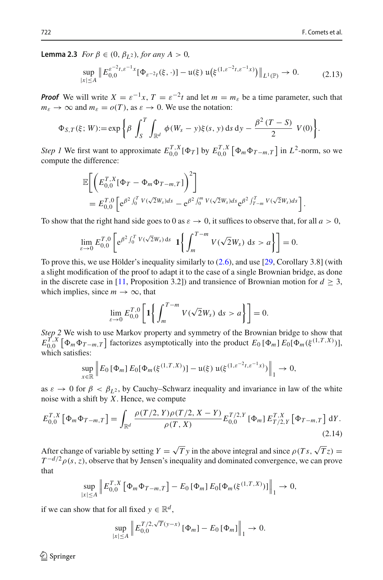**Lemma 2.3** *For*  $\beta \in (0, \beta_{I2})$ *, for any*  $A > 0$ *,* 

<span id="page-9-0"></span>
$$
\sup_{|x| \le A} \| E_{0,0}^{\varepsilon^{-2}t, \varepsilon^{-1}x} [\Phi_{\varepsilon^{-2}t}(\xi, \cdot)] - \mathfrak{u}(\xi) \mathfrak{u}(\xi^{(1, \varepsilon^{-2}t, \varepsilon^{-1}x)}) \|_{L^1(\mathbb{P})} \to 0. \tag{2.13}
$$

*Proof* We will write  $X = \varepsilon^{-1}x$ ,  $T = \varepsilon^{-2}t$  and let  $m = m_{\varepsilon}$  be a time parameter, such that  $m_{\varepsilon} \to \infty$  and  $m_{\varepsilon} = o(T)$ , as  $\varepsilon \to 0$ . We use the notation:

$$
\Phi_{S,T}(\xi; W) := \exp \left\{ \beta \int_S^T \int_{\mathbb{R}^d} \phi(W_s - y) \xi(s, y) \, ds \, dy - \frac{\beta^2 (T - S)}{2} V(0) \right\}.
$$

*Step 1* We first want to approximate  $E_{0,0}^{T,X}[\Phi_T]$  by  $E_{0,0}^{T,X}[\Phi_m \Phi_{T-m,T}]$  in  $L^2$ -norm, so we compute the difference:

$$
\mathbb{E}\bigg[\bigg(E_{0,0}^{T,X}[\Phi_T-\Phi_m\Phi_{T-m,T}]\bigg)^2\bigg] \n= E_{0,0}^{T,0}\bigg[e^{\beta^2\int_0^T V(\sqrt{2}W_s)ds}-e^{\beta^2\int_0^m V(\sqrt{2}W_s)ds}e^{\beta^2\int_{T-m}^T V(\sqrt{2}W_s)ds}\bigg].
$$

To show that the right hand side goes to 0 as  $\varepsilon \to 0$ , it suffices to observe that, for all  $a > 0$ ,

$$
\lim_{\varepsilon \to 0} E_{0,0}^{T,0} \left[ e^{\beta^2 \int_0^T V(\sqrt{2}W_s) ds} \mathbf{1} \left\{ \int_m^{T-m} V(\sqrt{2}W_s) ds > a \right\} \right] = 0.
$$

To prove this, we use Hölder's inequality similarly to [\(2.6\)](#page-7-3), and use [\[29](#page-15-16), Corollary 3.8] (with a slight modification of the proof to adapt it to the case of a single Brownian bridge, as done in the discrete case in [\[11,](#page-15-17) Proposition 3.2]) and transience of Brownian motion for  $d \geq 3$ , which implies, since  $m \to \infty$ , that

$$
\lim_{\varepsilon \to 0} E_{0,0}^{T,0} \left[ 1 \bigg\{ \int_m^{T-m} V(\sqrt{2}W_s) \, ds > a \bigg\} \right] = 0.
$$

*Step 2* We wish to use Markov property and symmetry of the Brownian bridge to show that  $E_{0,0}^{T,X}$  [ $\Phi_m \Phi_{T-m,T}$ ] factorizes asymptotically into the product  $E_0$  [ $\Phi_m$ ]  $E_0[\Phi_m(\xi^{(1,T,X)})]$ , which satisfies:

$$
\sup_{x \in \mathbb{R}} \left\| E_0 \left[ \Phi_m \right] E_0 \left[ \Phi_m(\xi^{(1,T,X)}) \right] - \mathfrak{u}(\xi) \, \mathfrak{u}(\xi^{(1,\varepsilon^{-2}t,\varepsilon^{-1}x)}) \right\|_1 \to 0,
$$

as  $\varepsilon \to 0$  for  $\beta < \beta_{L^2}$ , by Cauchy–Schwarz inequality and invariance in law of the white noise with a shift by *X*. Hence, we compute

$$
E_{0,0}^{T,X}\left[\Phi_m\Phi_{T-m,T}\right] = \int_{\mathbb{R}^d} \frac{\rho(T/2,Y)\rho(T/2,X-Y)}{\rho(T,X)} E_{0,0}^{T/2,Y}\left[\Phi_m\right] E_{T/2,Y}^{T,X}\left[\Phi_{T-m,T}\right] dY. \tag{2.14}
$$

After change of variable by setting  $Y = \sqrt{Ty}$  in the above integral and since  $\rho(T_s, \sqrt{T_z}) =$  $T^{-d/2} \rho(s, z)$ , observe that by Jensen's inequality and dominated convergence, we can prove that

$$
\sup_{|x| \le A} \left\| E_{0,0}^{T,X} \left[ \Phi_m \Phi_{T-m,T} \right] - E_0 \left[ \Phi_m \right] E_0 [\Phi_m(\xi^{(1,T,X)})] \right\|_1 \to 0,
$$

if we can show that for all fixed  $y \in \mathbb{R}^d$ ,

$$
\sup_{|x| \le A} \left\| E_{0,0}^{T/2, \sqrt{T}(y-x)} \left[ \Phi_m \right] - E_0 \left[ \Phi_m \right] \right\|_1 \to 0.
$$

 $\circledcirc$  Springer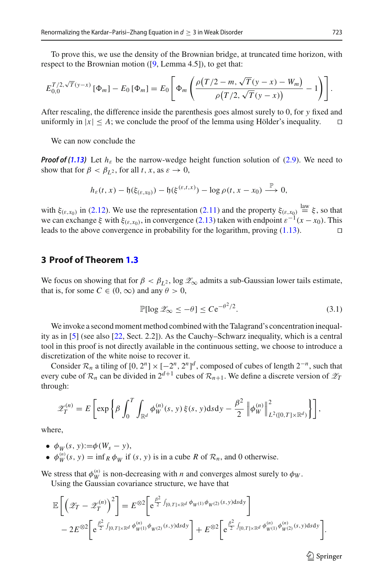To prove this, we use the density of the Brownian bridge, at truncated time horizon, with respect to the Brownian motion ([\[9,](#page-15-8) Lemma 4.5]), to get that:

$$
E_{0,0}^{T/2,\sqrt{T}(y-x)}\left[\Phi_m\right] - E_0\left[\Phi_m\right] = E_0\left[\Phi_m\left(\frac{\rho(T/2-m,\sqrt{T}(y-x)-W_m)}{\rho(T/2,\sqrt{T}(y-x))}-1\right)\right].
$$

After rescaling, the difference inside the parenthesis goes almost surely to 0, for *y* fixed and uniformly in  $|x| \leq A$ ; we conclude the proof of the lemma using Hölder's inequality.  $\square$ 

We can now conclude the

*Proof of [\(1.13\)](#page-4-1)* Let  $h_{\varepsilon}$  be the narrow-wedge height function solution of [\(2.9\)](#page-8-1). We need to show that for  $\beta < \beta_{L^2}$ , for all *t*, *x*, as  $\varepsilon \to 0$ ,

$$
h_{\varepsilon}(t,x)-\mathfrak{h}(\xi_{(\varepsilon,x_0)})-\mathfrak{h}(\xi^{(\varepsilon,t,x)})-\log \rho(t,x-x_0)\stackrel{\mathbb{P}}{\longrightarrow} 0,
$$

with  $\xi_{(\varepsilon,x_0)}$  in [\(2.12\)](#page-8-2). We use the representation [\(2.11\)](#page-8-3) and the property  $\xi_{(\varepsilon,x_0)} \stackrel{\text{law}}{=} \xi$ , so that we can exchange ξ with  $\xi_{(\varepsilon,\text{x}_0)}$ , in convergence [\(2.13\)](#page-9-0) taken with endpoint  $\varepsilon^{-1}(x-x_0)$ . This leads to the above convergence in probability for the logarithm, proving (1.13). leads to the above convergence in probability for the logarithm, proving [\(1.13\)](#page-4-1).

# **3 Proof of Theorem [1.3](#page-4-2)**

We focus on showing that for  $\beta < \beta_{L^2}$ , log  $\mathscr{Z}_{\infty}$  admits a sub-Gaussian lower tails estimate, that is, for some  $C \in (0, \infty)$  and any  $\theta > 0$ ,

<span id="page-10-0"></span>
$$
\mathbb{P}[\log \mathcal{Z}_{\infty} \le -\theta] \le C e^{-\theta^2/2}.
$$
 (3.1)

We invoke a second moment method combined with the Talagrand's concentration inequality as in [\[5](#page-14-5)] (see also [\[22,](#page-15-18) Sect. 2.2]). As the Cauchy–Schwarz inequality, which is a central tool in this proof is not directly available in the continuous setting, we choose to introduce a discretization of the white noise to recover it.

Consider  $\mathcal{R}_n$  a tiling of  $[0, 2^n] \times [-2^n, 2^n]^d$ , composed of cubes of length  $2^{-n}$ , such that every cube of  $\mathcal{R}_n$  can be divided in  $2^{d+1}$  cubes of  $\mathcal{R}_{n+1}$ . We define a discrete version of  $\mathcal{Z}_T$ through:

$$
\mathscr{Z}_T^{(n)} = E\left[\exp\left\{\beta \int_0^T \int_{\mathbb{R}^d} \phi_W^{(n)}(s, y) \xi(s, y) \mathrm{d} s \mathrm{d} y - \frac{\beta^2}{2} \left\|\phi_W^{(n)}\right\|_{L^2([0, T] \times \mathbb{R}^d)}^2\right\}\right],
$$

where,

•  $\phi_W(s, y) := \phi(W_s - y),$ 

•  $\phi_W^{(n)}(s, y) = \inf_R \phi_W$  if  $(s, y)$  is in a cube *R* of  $\mathcal{R}_n$ , and 0 otherwise.

We stress that  $\phi_W^{(n)}$  is non-decreasing with *n* and converges almost surely to  $\phi_W$ .

Using the Gaussian covariance structure, we have that

$$
\mathbb{E}\left[\left(\mathscr{Z}_{T} - \mathscr{Z}_{T}^{(n)}\right)^{2}\right] = E^{\otimes 2}\left[e^{\frac{\beta^{2}}{2}\int_{[0,T]\times\mathbb{R}^{d}}\phi_{W^{(1)}}\phi_{W^{(2)}}(s,y)dsdy}\right] - 2E^{\otimes 2}\left[e^{\frac{\beta^{2}}{2}\int_{[0,T]\times\mathbb{R}^{d}}\phi_{W^{(1)}}^{(n)}\phi_{W^{(2)}}(s,y)dsdy}\right] + E^{\otimes 2}\left[e^{\frac{\beta^{2}}{2}\int_{[0,T]\times\mathbb{R}^{d}}\phi_{W^{(1)}}^{(n)}\phi_{W^{(2)}}^{(n)}(s,y)dsdy}\right].
$$

 $\circled{2}$  Springer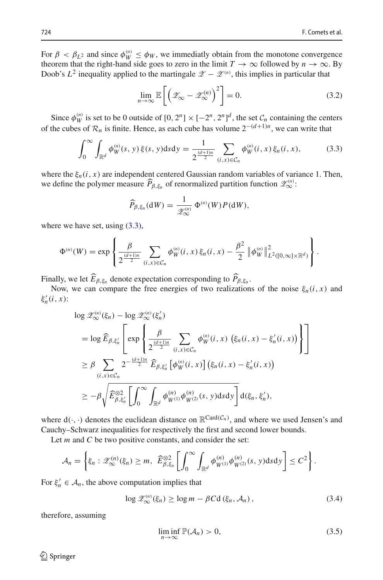For  $\beta < \beta_{L^2}$  and since  $\phi_W^{(n)} \le \phi_W$ , we immediatly obtain from the monotone convergence theorem that the right-hand side goes to zero in the limit  $T \to \infty$  followed by  $n \to \infty$ . By Doob's  $L^2$  inequality applied to the martingale  $\mathscr{Z} - \mathscr{Z}^{(n)}$ , this implies in particular that

<span id="page-11-2"></span>
$$
\lim_{n \to \infty} \mathbb{E}\left[\left(\mathcal{Z}_{\infty} - \mathcal{Z}_{\infty}^{(n)}\right)^2\right] = 0. \tag{3.2}
$$

Since  $\phi_W^{(n)}$  is set to be 0 outside of  $[0, 2^n] \times [-2^n, 2^n]^d$ , the set  $\mathcal{C}_n$  containing the centers of the cubes of  $\mathcal{R}_n$  is finite. Hence, as each cube has volume  $2^{-(d+1)n}$ , we can write that

<span id="page-11-0"></span>
$$
\int_0^\infty \int_{\mathbb{R}^d} \phi_W^{(n)}(s, y) \, \xi(s, y) \, \mathrm{d} s \, \mathrm{d} y = \frac{1}{2^{\frac{(d+1)n}{2}}} \sum_{(i, x) \in \mathcal{C}_n} \phi_W^{(n)}(i, x) \, \xi_n(i, x), \tag{3.3}
$$

where the  $\xi_n(i, x)$  are independent centered Gaussian random variables of variance 1. Then, we define the polymer measure  $\widehat{P}_{\beta,\xi_n}$  of renormalized partition function  $\mathscr{Z}_{\infty}^{(n)}$ :

$$
\widehat{P}_{\beta,\xi_n}(\mathrm{d}W)=\frac{1}{\mathscr{Z}_{\infty}^{(n)}}\,\Phi^{(n)}(W)P(\mathrm{d}W),
$$

where we have set, using  $(3.3)$ ,

$$
\Phi^{(n)}(W) = \exp \left\{ \frac{\beta}{2^{\frac{(d+1)n}{2}}} \sum_{(i,x)\in\mathcal{C}_n} \phi_W^{(n)}(i,x) \, \xi_n(i,x) - \frac{\beta^2}{2} \left\| \phi_W^{(n)} \right\|_{L^2([0,\infty]\times\mathbb{R}^d)}^2 \right\}.
$$

Finally, we let  $E_{\beta, \xi_n}$  denote expectation corresponding to  $P_{\beta, \xi_n}$ .

Now, we can compare the free energies of two realizations of the noise  $\xi_n(i, x)$  and  $\xi_n'(i, x)$ :

$$
\log \mathscr{Z}^{(n)}_{\infty}(\xi_n) - \log \mathscr{Z}^{(n)}_{\infty}(\xi'_n)
$$
\n
$$
= \log \widehat{E}_{\beta, \xi'_n} \left[ \exp \left\{ \frac{\beta}{2^{\frac{(d+1)n}{2}}} \sum_{(i,x)\in C_n} \phi^{(n)}_W(i,x) \left( \xi_n(i,x) - \xi'_n(i,x) \right) \right\} \right]
$$
\n
$$
\geq \beta \sum_{(i,x)\in C_n} 2^{-\frac{(d+1)n}{2}} \widehat{E}_{\beta, \xi'_n} \left[ \phi^{(n)}_W(i,x) \right] \left( \xi_n(i,x) - \xi'_n(i,x) \right)
$$
\n
$$
\geq -\beta \sqrt{\widehat{E}_{\beta, \xi'_n}^{\otimes 2}} \left[ \int_0^\infty \int_{\mathbb{R}^d} \phi^{(n)}_{W^{(1)}} \phi^{(n)}_{W^{(2)}}(s,y) \, ds \, dy \right] d(\xi_n, \xi'_n),
$$

where  $d(\cdot, \cdot)$  denotes the euclidean distance on  $\mathbb{R}^{Card(\mathcal{C}_n)}$ , and where we used Jensen's and Cauchy–Schwarz inequalities for respectively the first and second lower bounds.

Let *m* and *C* be two positive constants, and consider the set:

$$
\mathcal{A}_n = \left\{ \xi_n : \mathscr{Z}_{\infty}^{(n)}(\xi_n) \geq m, \ \widehat{E}_{\beta,\xi_n}^{\otimes 2} \left[ \int_0^{\infty} \int_{\mathbb{R}^d} \phi_{W^{(1)}}^{(n)} \phi_{W^{(2)}}^{(n)}(s, y) \, ds \, dy \right] \leq C^2 \right\}.
$$

For  $\xi'_n \in A_n$ , the above computation implies that

<span id="page-11-1"></span>
$$
\log \mathcal{Z}_{\infty}^{(n)}(\xi_n) \ge \log m - \beta C \mathbf{d}(\xi_n, \mathcal{A}_n), \tag{3.4}
$$

therefore, assuming

<span id="page-11-3"></span>
$$
\liminf_{n \to \infty} \mathbb{P}(\mathcal{A}_n) > 0,
$$
\n(3.5)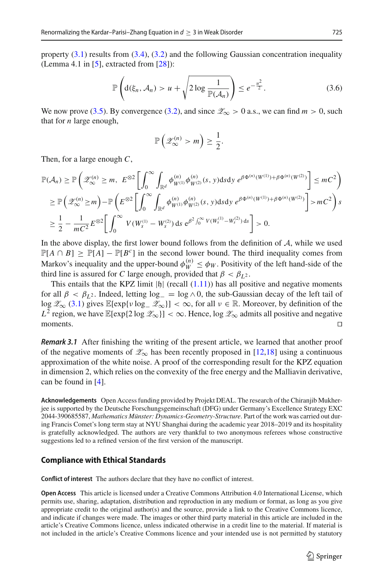property  $(3.1)$  results from  $(3.4)$ ,  $(3.2)$  and the following Gaussian concentration inequality (Lemma 4.1 in  $[5]$  $[5]$ , extracted from  $[28]$ ):

$$
\mathbb{P}\left(\mathrm{d}(\xi_n,\mathcal{A}_n) > u + \sqrt{2\log\frac{1}{\mathbb{P}(\mathcal{A}_n)}}\right) \leq e^{-\frac{u^2}{2}}.\tag{3.6}
$$

We now prove [\(3.5\)](#page-11-3). By convergence [\(3.2\)](#page-11-2), and since  $\mathcal{Z}_{\infty} > 0$  a.s., we can find  $m > 0$ , such that for *n* large enough,

$$
\mathbb{P}\left(\mathscr{Z}_{\infty}^{(n)} > m\right) \geq \frac{1}{2}.
$$

Then, for a large enough *C*,

$$
\mathbb{P}(\mathcal{A}_{n}) \geq \mathbb{P}\left(\mathcal{Z}_{\infty}^{(n)} \geq m, \ E^{\otimes 2} \left[\int_{0}^{\infty} \int_{\mathbb{R}^{d}} \phi_{W^{(1)}}^{(n)} \phi_{W^{(2)}}^{(n)}(s, y) \, ds \, dy \, e^{\beta \Phi^{(n)}(W^{(1)}) + \beta \Phi^{(n)}(W^{(2)})} \right] \leq mC^{2} \right)
$$
\n
$$
\geq \mathbb{P}\left(\mathcal{Z}_{\infty}^{(n)} \geq m\right) - \mathbb{P}\left(E^{\otimes 2} \left[\int_{0}^{\infty} \int_{\mathbb{R}^{d}} \phi_{W^{(1)}}^{(n)} \phi_{W^{(2)}}^{(n)}(s, y) \, ds \, dy \, e^{\beta \Phi^{(n)}(W^{(1)}) + \beta \Phi^{(n)}(W^{(2)})} \right] > mC^{2} \right) s
$$
\n
$$
\geq \frac{1}{2} - \frac{1}{mC^{2}} E^{\otimes 2} \left[\int_{0}^{\infty} V(W_{s}^{(1)} - W_{s}^{(2)}) \, ds \, e^{\beta^{2} \int_{0}^{\infty} V(W_{s}^{(1)} - W_{s}^{(2)}) \, ds} \right] > 0.
$$

In the above display, the first lower bound follows from the definition of *A*, while we used  $\mathbb{P}[A \cap B] \ge \mathbb{P}[A] - \mathbb{P}[B^c]$  in the second lower bound. The third inequality comes from Markov's inequality and the upper-bound  $\phi_W^{(n)} \le \phi_W$ . Positivity of the left hand-side of the third line is assured for *C* large enough, provided that  $\beta < \beta_1$ <sup>2</sup>.

This entails that the KPZ limit  $|h|$  (recall  $(1.11)$ ) has all positive and negative moments for all  $\beta < \beta_L$ <sup>2</sup>. Indeed, letting log<sub>−</sub> = log  $\land$  0, the sub-Gaussian decay of the left tail of log  $\mathscr{Z}_{\infty}$  [\(3.1\)](#page-10-0) gives  $\mathbb{E}[\exp\{\nu \log_{-} \mathscr{Z}_{\infty}\}] < \infty$ , for all  $\nu \in \mathbb{R}$ . Moreover, by definition of the *L*<sup>2</sup> region, we have E[exp{2 log  $\mathcal{Z}_\infty$ }] < ∞. Hence, log  $\mathcal{Z}_\infty$  admits all positive and negative moments.  $\Box$ moments.  $\square$ 

*Remark 3.1* After finishing the writing of the present article, we learned that another proof of the negative moments of  $\mathscr{Z}_{\infty}$  has been recently proposed in [\[12](#page-15-9)[,18](#page-15-20)] using a continuous approximation of the white noise. A proof of the corresponding result for the KPZ equation in dimension 2, which relies on the convexity of the free energy and the Malliavin derivative, can be found in [\[4](#page-14-3)].

**Acknowledgements** Open Access funding provided by Projekt DEAL. The research of the Chiranjib Mukherjee is supported by the Deutsche Forschungsgemeinschaft (DFG) under Germany's Excellence Strategy EXC 2044-390685587, *Mathematics Münster: Dynamics-Geometry-Structure*. Part of the work was carried out during Francis Comet's long term stay at NYU Shanghai during the academic year 2018–2019 and its hospitality is gratefully acknowledged. The authors are very thankful to two anonymous referees whose constructive suggestions led to a refined version of the first version of the manuscript.

## **Compliance with Ethical Standards**

**Conflict of interest** The authors declare that they have no conflict of interest.

**Open Access** This article is licensed under a Creative Commons Attribution 4.0 International License, which permits use, sharing, adaptation, distribution and reproduction in any medium or format, as long as you give appropriate credit to the original author(s) and the source, provide a link to the Creative Commons licence, and indicate if changes were made. The images or other third party material in this article are included in the article's Creative Commons licence, unless indicated otherwise in a credit line to the material. If material is not included in the article's Creative Commons licence and your intended use is not permitted by statutory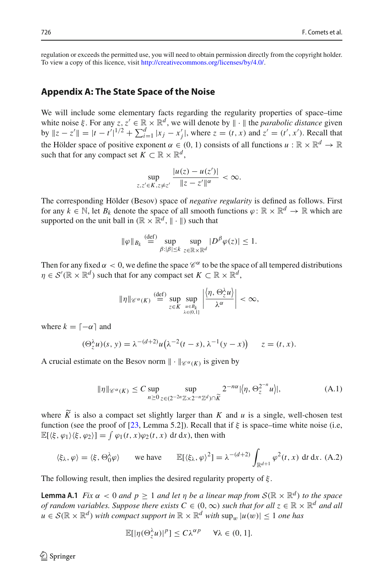regulation or exceeds the permitted use, you will need to obtain permission directly from the copyright holder. To view a copy of this licence, visit [http://creativecommons.org/licenses/by/4.0/.](http://creativecommons.org/licenses/by/4.0/)

## **Appendix A: The State Space of the Noise**

We will include some elementary facts regarding the regularity properties of space–time white noise  $\xi$ . For any  $z, z' \in \mathbb{R} \times \mathbb{R}^d$ , we will denote by  $\|\cdot\|$  the *parabolic distance* given  $\|z - z'\| = |t - t'|^{1/2} + \sum_{i=1}^{d} |x_i - x'_j|$ , where  $z = (t, x)$  and  $z' = (t', x')$ . Recall that the Hölder space of positive exponent  $\alpha \in (0, 1)$  consists of all functions  $u : \mathbb{R} \times \mathbb{R}^d \to \mathbb{R}$ such that for any compact set  $K \subset \mathbb{R} \times \mathbb{R}^d$ ,

$$
\sup_{z,z'\in K, z\neq z'}\frac{|u(z)-u(z')|}{\|z-z'\|^{\alpha}}<\infty.
$$

The corresponding Hölder (Besov) space of *negative regularity* is defined as follows. First for any  $k \in \mathbb{N}$ , let  $B_k$  denote the space of all smooth functions  $\varphi \colon \mathbb{R} \times \mathbb{R}^d \to \mathbb{R}$  which are supported on the unit ball in  $(\mathbb{R} \times \mathbb{R}^d, \| \cdot \|)$  such that

$$
\|\varphi\|_{B_k} \stackrel{\text{(def)}}{=} \sup_{\beta: |\beta| \le k} \sup_{z \in \mathbb{R} \times \mathbb{R}^d} |D^\beta \varphi(z)| \le 1.
$$

Then for any fixed  $\alpha < 0$ , we define the space  $\mathscr{C}^{\alpha}$  to be the space of all tempered distributions  $\eta \in \mathcal{S}'(\mathbb{R} \times \mathbb{R}^d)$  such that for any compact set  $K \subset \mathbb{R} \times \mathbb{R}^d$ ,

$$
\|\eta\|_{\mathscr{C}^{\alpha}(K)} \stackrel{\text{(def)}}{=} \sup_{z \in K} \sup_{\substack{u \in B_k \\ \lambda \in (0,1]}} \left| \frac{\langle \eta, \Theta^{\lambda}_z u \rangle}{\lambda^{\alpha}} \right| < \infty,
$$

where  $k = \lfloor -\alpha \rfloor$  and

$$
(\Theta_{z}^{\lambda}u)(s, y) = \lambda^{-(d+2)}u(\lambda^{-2}(t-s), \lambda^{-1}(y-x)) \qquad z = (t, x).
$$

A crucial estimate on the Besov norm  $\|\cdot\|_{\mathscr{C}^{\alpha}(K)}$  is given by

<span id="page-13-2"></span>
$$
\|\eta\|_{\mathscr{C}^{\alpha}(K)} \leq C \sup_{n\geq 0} \sup_{z\in(2^{-2n}\mathbb{Z}\times 2^{-n}\mathbb{Z}^d)\cap \widetilde{K}} 2^{-n\alpha} |\langle \eta, \Theta_z^{2^{-n}} u \rangle|, \tag{A.1}
$$

where *K* is also a compact set slightly larger than *K* and *u* is a single, well-chosen test<br>faction (as the acceleration of  $522$  J and  $521$ ). Deall that if his access time white acise (i.e. function (see the proof of [\[23](#page-15-21), Lemma 5.2]). Recall that if  $\xi$  is space–time white noise (i.e,  $\mathbb{E}[\langle \xi, \varphi_1 \rangle \langle \xi, \varphi_2 \rangle] = \int \varphi_1(t, x) \varphi_2(t, x) dt dx$ , then with

<span id="page-13-1"></span>
$$
\langle \xi_{\lambda}, \varphi \rangle = \langle \xi, \Theta_0^{\lambda} \varphi \rangle \quad \text{we have} \quad \mathbb{E}[\langle \xi_{\lambda}, \varphi \rangle^2] = \lambda^{-(d+2)} \int_{\mathbb{R}^{d+1}} \varphi^2(t, x) \, dt \, dx. \tag{A.2}
$$

The following result, then implies the desired regularity property of  $\xi$ .

**Lemma A.1** *Fix*  $\alpha < 0$  *and*  $p \ge 1$  *and let*  $\eta$  *be a linear map from*  $S(\mathbb{R} \times \mathbb{R}^d)$  *to the space of random variables. Suppose there exists*  $C \in (0, \infty)$  *such that for all*  $z \in \mathbb{R} \times \mathbb{R}^d$  *and all*  $u \in \mathcal{S}(\mathbb{R} \times \mathbb{R}^d)$  *with compact support in*  $\mathbb{R} \times \mathbb{R}^d$  *with*  $\sup_w |u(w)| \leq 1$  *one has* 

<span id="page-13-0"></span>
$$
\mathbb{E}[|\eta(\Theta_{z}^{\lambda}u)|^{p}] \leq C\lambda^{\alpha p} \quad \forall \lambda \in (0,1].
$$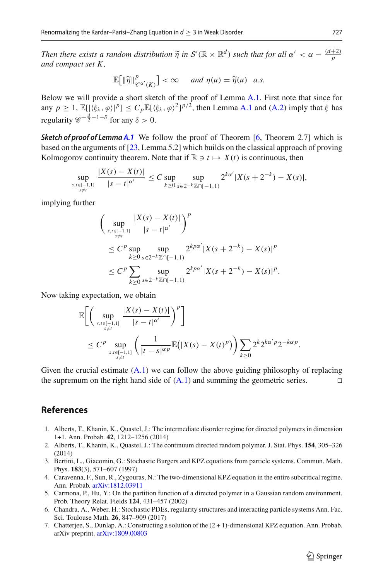*Then there exists a random distribution*  $\widetilde{\eta}$  *in*  $S'(\mathbb{R} \times \mathbb{R}^d)$  *such that for all*  $\alpha' < \alpha - \frac{(d+2)}{p}$ *and compact set K ,*

$$
\mathbb{E}\big[\|\widetilde{\eta}\|_{\mathscr{C}^{\alpha'}(K)}^p\big] < \infty \quad \text{and } \eta(u) = \widetilde{\eta}(u) \quad a.s.
$$

Below we will provide a short sketch of the proof of Lemma [A.1.](#page-13-0) First note that since for any  $p \geq 1$ ,  $\mathbb{E}[|\langle \xi_{\lambda}, \varphi \rangle|^p] \leq C_p \mathbb{E}[\langle \xi_{\lambda}, \varphi \rangle^2]^{p/2}$ , then Lemma [A.1](#page-13-0) and [\(A.2\)](#page-13-1) imply that  $\xi$  has regularity  $\mathscr{C}^{-\frac{d}{2}-1-\delta}$  for any  $\delta > 0$ .

**Sketch of proof of Lemma [A.1](#page-13-0)** We follow the proof of Theorem [\[6](#page-14-6), Theorem 2.7] which is based on the arguments of [\[23](#page-15-21), Lemma 5.2] which builds on the classical approach of proving Kolmogorov continuity theorem. Note that if  $\mathbb{R} \ni t \mapsto X(t)$  is continuous, then

$$
\sup_{\substack{s,t\in[-1,1]\\s\neq t}}\frac{|X(s)-X(t)|}{|s-t|^{\alpha'}}\leq C\sup_{k\geq 0}\sup_{s\in 2^{-k}\mathbb{Z}\cap[-1,1)}2^{k\alpha'}|X(s+2^{-k})-X(s)|,
$$

implying further

$$
\left(\sup_{\substack{s,t\in[-1,1]\\s\neq t}}\frac{|X(s)-X(t)|}{|s-t|^{\alpha'}}\right)^p
$$
\n
$$
\leq C^p \sup_{k\geq 0} \sup_{s\in 2^{-k}\mathbb{Z}\cap[-1,1)} 2^{kp\alpha'}|X(s+2^{-k})-X(s)|^p
$$
\n
$$
\leq C^p \sum_{k\geq 0} \sup_{s\in 2^{-k}\mathbb{Z}\cap[-1,1)} 2^{kp\alpha'}|X(s+2^{-k})-X(s)|^p.
$$

Now taking expectation, we obtain

$$
\mathbb{E}\bigg[\bigg(\sup_{\substack{s,t\in[-1,1]\\s\neq t}}\frac{|X(s)-X(t)|}{|s-t|^{\alpha'}}\bigg)^p\bigg]\n\leq C^p\sup_{\substack{s,t\in[-1,1]\\s\neq t}}\bigg(\frac{1}{|t-s|^{\alpha p}}\mathbb{E}\big(|X(s)-X(t)^p\big)\bigg)\sum_{k\geq 0}2^k2^{k\alpha'p}2^{-k\alpha p}.
$$

Given the crucial estimate  $(A.1)$  we can follow the above guiding philosophy of replacing the supremum on the right hand side of  $(A.1)$  and summing the geometric series.

# **References**

- <span id="page-14-1"></span>1. Alberts, T., Khanin, K., Quastel, J.: The intermediate disorder regime for directed polymers in dimension 1+1. Ann. Probab. **42**, 1212–1256 (2014)
- <span id="page-14-2"></span>2. Alberts, T., Khanin, K., Quastel, J.: The continuum directed random polymer. J. Stat. Phys. **154**, 305–326 (2014)
- <span id="page-14-0"></span>3. Bertini, L., Giacomin, G.: Stochastic Burgers and KPZ equations from particle systems. Commun. Math. Phys. **183**(3), 571–607 (1997)
- <span id="page-14-3"></span>4. Caravenna, F., Sun, R., Zygouras, N.: The two-dimensional KPZ equation in the entire subcritical regime. Ann. Probab. [arXiv:1812.03911](http://arxiv.org/abs/1812.03911)
- <span id="page-14-5"></span>5. Carmona, P., Hu, Y.: On the partition function of a directed polymer in a Gaussian random environment. Prob. Theory Relat. Fields **124**, 431–457 (2002)
- <span id="page-14-6"></span>6. Chandra, A., Weber, H.: Stochastic PDEs, regularity structures and interacting particle systems Ann. Fac. Sci. Toulouse Math. **26**, 847–909 (2017)
- <span id="page-14-4"></span>7. Chatterjee, S., Dunlap, A.: Constructing a solution of the (2 + 1)-dimensional KPZ equation. Ann. Probab. arXiv preprint. [arXiv:1809.00803](http://arxiv.org/abs/1809.00803)